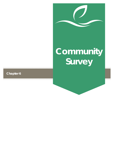# **Community Survey**

# **Chapter 6**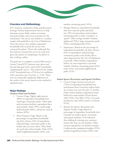### **Overview and Methodology**

ETC Institute conducted a Parks and Recreation Strategic Facility Improvement Survey to help determine sports fields, indoor recreation, and parks facility and service priorities for the community. The survey was mailed to a random sample of households in the City of Manhattan. Once the surveys were mailed, respondent households who received the survey were contacted by phone. Those who indicated that they had not returned the survey by mail were given the option of completing it by phone or they could go online.

The goal was to complete a total of 600 surveys; Leisure Vision/ETC Institute went above and beyond that goal with a total of 847 households completing the survey. The results for the sample of 847 households have a 95% level of confidence with a precision rate of at least +/- 3.3%. There were no statistically significant differences in the results of the survey based on the method of administration.

#### **Major Findings**

#### **Outdoor Parks and Facilities**

- Current Usage: Eighty-eight percent (88%) of respondent households have used large community parks. Other park and recreation facilities respondents have used include: Trails (70%), small neighborhood parks (68%), and picnic areas & shelters (65%).
- Most Frequent Usage: Based on the percentage of respondent households' top three choices, 62% of respondents indicated large community parks as the facility they use most often. Other facilities used most often include: Trails (41%), small neighborhood parks (34%), and

outdoor swimming pools (31%).

- Ratings: Based on respondent households who have used the parks and facilities, 95% of respondents rated outdoor swimming pools as either "excellent" or "good." Other ratings include: Outdoor splash pad (95%), large community parks (92%), and playgrounds (91%).
- Importance: Based on the percentage of respondent households' top three choices, 62% of respondents indicated large community parks as the facility that is most important for the City of Manhattan to provide. Other facilities respondents believe are most important to provide include: Outdoor swimming pools (42%), trails (41%), and small neighborhood parks (37%).

#### **Indoor Sports, Recreation, and Aquatic Facilities**

- Current Usage: Seventy-two percent (72%) of respondent households have used Kansas State University indoor facilities at least once over the past 12 months. Other indoor facilities respondent households have used include: Private fitness clubs (54%), Fort Riley (52%), City park pavilion/ice rink (49%) and K-12 schools  $(47\%)$ .
- Reasons for Sports, Recreation and Aquatic Facility Usage: Based on percentage of respondent households who currently use indoor sports, recreation, and aquatic facilities, 41% indicated that walking & running was a primary reason why they use the facilities. Other reasons respondents use facilities include: Cardiovascular equipment/weights (35%), aerobics/yoga/fitness classes (23%), and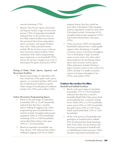

exercise swimming (17%).

• Reasons That Prevent Sports, Recreation and Aquatic Facility Usage: Seventy-three percent (73%) of respondent households indicated that we do not have access to Fort Riley indoor facilities was a barrier that prevented them from using indoor sports, recreation, and aquatic facilities more often. Other potential barriers include: We do not have access to Kansas State University indoor facilities (52%), community lacks indoor programming spaces important to our household (35%), and we do not have enough access to K-12 school gyms for games & practices (35%).

#### **Rating of Parks, Trails, Sports, Aquatics, and Recreation Facilities**

Based on percentage of respondents who have visited any of the parks, trails, sports, aquatics, or recreation facilities, 66% rated the overall physical condition as good. Other ratings of overall physical condition include: Fair (19%) and excellent (15%).

#### **Indoor Recreation Programming Spaces**

- Based on the percentage of respondent households, 62% or 12,445 households indicated that they have a need for indoor walking & jogging track. Other programming spaces households have a need for include: Strength/cardiovascular equipment (50% or 9,924 households), swimming (47% or 9,404 households), and aerobics/fitness/dance class space (36% or 7,223 households).
- Based on respondent households' top three choices, 54% indicated that indoor walking & jogging track was an indoor

program feature that they would use most often if developed. Other program features respondents would use most often if developed include: Swimming (41%), strength/cardiovascular equipment (31%), and aerobics/fitness/dance class space  $(25\%)$ .

• Thirty-six percent (36%) of respondent households indicated that I could equally support either developing 2-3 smaller recreation centers in locations throughout City or developing 1 larger recreation center to serve entire City when asked about preference for developing indoor sports and recreation activity spaces. Other preferences include: Develop 1 larger recreation center to serve entire City (26%), develop 2-3 smaller recreation centers in locations throughout City (25%), and neither (14%).

# **Outdoor Recreation Facilities**

- **Baseball and Softball Facilities**
	- Based on the percentage of respondent households, 27% or 5,322 households indicated that they have a need for baseball/softball fields Other sports facilities households have a need for include: Soccer fields (24% or 4,742 households), tennis courts (18% or 3,581 households), disc golf courses (18% or 3,561 households) and football fields (13% or 2,501 households).
	- Of the 23% percent of households who participate in baseball and/or softball, 59% of indicated that Frank Anneberg Park (Twin Oaks) was the location that they have participated in baseball and/ or softball games and/or practices. Other locations respondent households have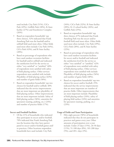

used include: City Park (51%), CiCo Park (49%), Griffith Park (28%), K-State facility (27%) and Eisenhower Complex  $(26\%)$ .

- Based on respondent households' top three choices, 52% indicated that Frank Anneberg Park was the baseball and/or softball field used most often. Other fields used most often include: City Park (44%), CiCo Park (43%), and K-State facility (20%).
- Based on percentage of respondents who have used outdoor recreation facilities for baseball and/or softball and indicated the satisfaction level for the service as either "very satisfied" or "satisfied," 68% of respondents were satisfied with safety of field playing surface. Other services respondents were satisfied with include: Playability of field playing surface (63%) and number of game fields (58%).
- Based on respondent households' top two choices for baseball and/or softball, 40% indicated that the service improvements that are most important are playability of field playing surface. Other improvements that are most important include: Safety of field playing surface (36%), amenities for spectators (seating, parking, etc.) (24%) and number of practice fields (17%).

#### **Soccer and Football Facilities**

• Of the 21% of households who indicated they participate in soccer and/or football, 70% indicated that Frank Anneberg Park was the location that they have participated in soccer and/or football games and/ or practices. Other locations respondent households have used include: City Park

(34%), CiCo Park (32%), K-State facility (28%), K-12 school facility (26%), and Griffith Park (25%).

- Based on respondent households' top three choices, 67% indicated that Frank Anneberg Park was the soccer and/or football field used most often. Other fields used most often include: City Park (29%), CiCo Park (28%), and K-State facility (22%).
- Based on percentage of respondents who have used outdoor recreation facilities for soccer and/or football and indicated the satisfaction level for the service as either "very satisfied" or "satisfied," 62% of respondents were satisfied with safety of field playing surface. Other services respondents were satisfied with include: Playability of field playing surface (56%) and number of game fields (48%).
- Based on respondent households' top two choices for soccer and/or football, 25% indicated that the service improvements that are most important are number of practice fields. Other improvements that are most important include: Playability of field playing surface (24%), safety of playing field surface (24%) and amenities for spectators (seating, parking, etc.) (23%).

#### **Usage of Fields and Team Participation**

Fifty-eight percent (58%) of households indicated that they do not participate in practices and games every year. Other amounts of participation over a year include: Under 25 days (15%), 26-50 days (11%), 51-100 days (8%), 101-200 days (5%), and 201+ days (3%).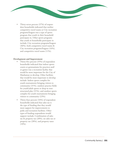

• Thirty-seven percent (37%) of respondent households indicated that neither competitive travel teams or City recreation programs/leagues was a type of sports program that youth in their household participate in. Other sports programs that youth in households participate in include: City recreation programs/leagues (36%), both competitive travel teams & City recreation programs/leagues (16%), and competitive travel teams (11%).

#### **Development and Improvement**

- Thirty-five percent (35%) of respondent households indicated that indoor sports courts or gymnasiums for practices and/ or games was a recreation facility that would be most important for the City of Manhattan to develop. Other facilities that would be most important to develop include: Indoor sports complex for youth tournaments bringing visitors to community (31%), outdoor practice fields for youth/adult sports or drop-in nonstructured play (31%), and outdoor sports complex for youth tournaments bringing visitors to community (23%).
- Thirty-four percent (34%) of respondent households indicated that sales tax is the type of funding that they would most support for improvements to parks and recreation facilities. Other types of funding respondents would support include: Combination of sales tax & property tax (28%), no sales tax or property tax (28%), and property taxes  $(10\%)$ .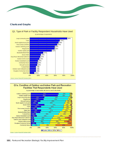

#### **Charts and Graphs**



#### Q1a. Condition of Outdoor and Indoor Park and Recreation **Facilities That Respondents Have Used**



Source: Leisure Vision/ETC Institute (2015)

**152** | Parks and Recreation Strategic Facility Improvement Plan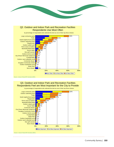



Source: Leisure Vision/ETC Institute (2015)

Q3. Outdoor and Indoor Park and Recreation Facilties Respondents Feel are Most Important for the City to Provide

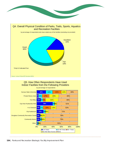



# Q5. How Often Respondents Have Used Indoor Facilties from the Following Providers

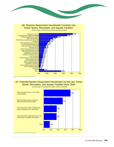







by percentage of respondents (mutiple selections possible)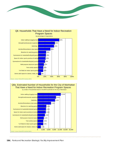



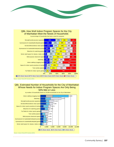

## Q8b. How Well Indoor Program Spaces for the City of Manhattan Meet the Needs of Households

| Gymnasiums for basketball/volleyball games<br>Aerobics/fitness/dance class space | 23%<br>27% |                                 | 23%                                                                            | 20%                             |                   | 23%                      | 11%                                                                                         |
|----------------------------------------------------------------------------------|------------|---------------------------------|--------------------------------------------------------------------------------|---------------------------------|-------------------|--------------------------|---------------------------------------------------------------------------------------------|
|                                                                                  |            |                                 |                                                                                |                                 |                   |                          |                                                                                             |
|                                                                                  |            |                                 | 17%                                                                            | 26%                             |                   | 15%                      | 15%                                                                                         |
| Gymnasiums for basketball/volleyball practice                                    | 18%        | 20%                             |                                                                                | 24%                             |                   | 27%                      | 11%                                                                                         |
| Bleachers for watching games                                                     |            | 19%                             |                                                                                | 31%                             |                   | 21%                      | 11%                                                                                         |
| Senior adult space for classes, meals, etc. 9%                                   |            |                                 |                                                                                |                                 | 26%               |                          | 19%                                                                                         |
| Multi-purpose classroom space                                                    |            |                                 |                                                                                |                                 |                   |                          | 19%                                                                                         |
| Swimming                                                                         |            |                                 |                                                                                | 19%                             |                   | 37%                      |                                                                                             |
| Indoor walking & jogging track                                                   |            |                                 |                                                                                | 18%                             |                   | 42%                      |                                                                                             |
| Space for indoor sports practices & training 8%                                  | 14%        |                                 |                                                                                |                                 |                   |                          | 20%                                                                                         |
| Teen activity spaces 7%                                                          |            |                                 |                                                                                |                                 |                   | 31%                      |                                                                                             |
|                                                                                  |            |                                 |                                                                                |                                 |                   |                          |                                                                                             |
| 0%                                                                               |            |                                 |                                                                                |                                 |                   | 80%                      | 100%                                                                                        |
|                                                                                  |            | 19%<br>12%<br>16%<br>17%<br>12% | 26%<br>16%<br>11%<br>8%<br>Turf fields for indoor sports games 7% 7% 7%<br>20% | <b>17%</b><br>14%<br>22%<br>21% | 20%<br>31%<br>40% | 37%<br>30%<br>79%<br>60% | 22%<br>■100% Meets Needs ■75% Meets Needs ■50% Meets Needs ■25% Meets Needs ■0% Meets Needs |

by percentage of households that have a need for programs

#### Q8c. Estimated Number of Households for the City of Manhattan Whose Needs for Indoor Program Spaces Are Only Being 50% Met or Less

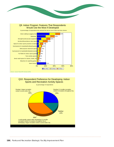



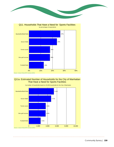



## Q11a. Estimated Number of Households for the City of Manhattan That Have a Need for Sports Facilities



by number of households based on 20,008 households for the City of Manhattan

 $\overline{a}$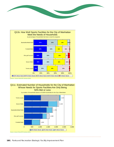



# Q11c. Estimated Number of Households for the City of Manhattan Whose Needs for Sports Facilities Are Only Being

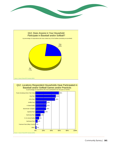





Community Survey | **161**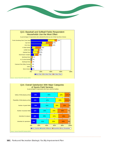



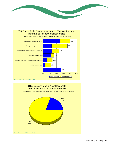





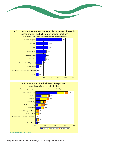



#### Q17. Soccer and Football Fields Respondent Households Use the Most Often



by percentage of respondents who selected the item as one of their top three choices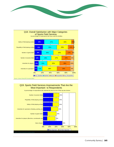



#### Q19. Sports Field Services Improvements That Are the Most Important to Respondents



by percentage of respondents who selected the item as one of their top two choices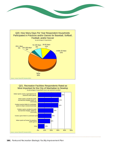



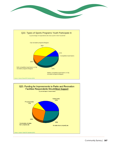





 $\mathbf{r}$  and  $\mathbf{r}$  and  $\mathbf{r}$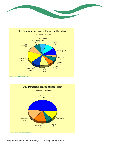





**168** | Parks and Recreation Strategic Facility Improvement Plan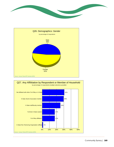



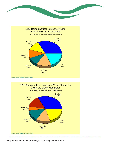





**170** | Parks and Recreation Strategic Facility Improvement Plan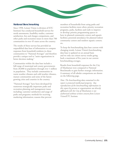#### **National Benchmarking**

Since 1998, Leisure Vision (a division of ETC Institute) has conducted household surveys for needs assessments, feasibility studies, customer satisfaction, fees and charges comparisons, and other parks and recreation issues in more than 700 communities in over 45 states across the country.

The results of these surveys has provided an unparalleled data base of information to compare responses from household residents in client communities to "National Averages" and therefore provide a unique tool to "assist organizations in better decision making."

Communities within the data base include a full-range of municipal and county governments from 20,000 in population through over 1 million in population. They include communities in warm weather climates and cold weather climates, mature communities and some of the fastest growing cities and counties in the country.

"National Averages" have been developed for numerous strategically important parks and recreation planning and management issues including: customer satisfaction and usage of parks and programs; methods for receiving marketing information; reasons that prevent

members of households from using parks and recreation facilities more often; priority recreation programs, parks, facilities and trails to improve or develop; priority programming spaces to have in planned community centers and aquatic facilities; potential attendance for planned indoor community centers and outdoor aquatic centers; etc.

To keep the benchmarking data base current with changing trends, Leisure Vision's benchmarking data base is updated on an annual basis and we only use citizen survey results going back a maximum of five years in our current benchmarking averages.

Results from household responses for the City of Manhattan were compared to National Benchmarks to gain further strategic information. A summary of all tabular comparisons are shown on the following page.

*Note: The benchmarking data contained in this report is protected intellectual property. Any reproduction of the benchmarking information in this report by persons or organizations not directly affiliated with the City of Manhattan is not authorized without written consent from Leisure Vision/ETC Institute.*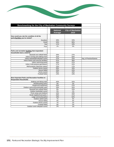

| Benchmarking for the City of Manhattan Community Surveys                                 |                                   |                                  |                        |
|------------------------------------------------------------------------------------------|-----------------------------------|----------------------------------|------------------------|
|                                                                                          |                                   |                                  |                        |
|                                                                                          | <b>National</b><br><b>Average</b> | <b>City of Manhattan</b><br>2015 |                        |
| How would you rate the condition of all the<br>parks/facilities you've visited?          |                                   |                                  |                        |
| Excellent                                                                                | 34%                               | 15%                              |                        |
| Good                                                                                     | 54%                               | 66%                              |                        |
| Fair                                                                                     | 11%                               | 19%                              |                        |
| Poor                                                                                     | 1%                                | 0%                               |                        |
| Parks and recreation facilities that respondent<br>households have a need for            |                                   |                                  |                        |
| Baseball and softball fields                                                             | 20%                               | 27%                              |                        |
| Indoor running and walking track                                                         | 41%                               | 62%                              |                        |
| Indoor basketball/volleyball courts                                                      | 27%                               | 22%                              | Avg. of Practice/Games |
| Indoor fitness and exercise facilities                                                   | 47%                               | 36%                              |                        |
| Indoor swimming pools                                                                    | 44%                               | 47%                              |                        |
| Indoor multi-purpose gymnasium                                                           | 27%                               | 22%                              |                        |
| Multi-purpose classroom space                                                            | 23%                               | 17%                              |                        |
| Outdoor tennis courts                                                                    | 26%                               | 18%                              |                        |
| Soccer fields                                                                            | 23%                               | 24%                              |                        |
| Tennis courts                                                                            | 26%                               | 18%                              |                        |
| <b>Football fields</b>                                                                   | 13%                               | 13%                              |                        |
| <b>Most Important Parks and Recreation Facilities to</b><br><b>Respondent Households</b> |                                   |                                  |                        |
| Walking and biking trails                                                                | 42%                               | 41%                              |                        |
| Skateboarding parks                                                                      | 3%                                | 2%                               |                        |
| Playground equipment                                                                     | 20%                               | 27%                              |                        |
| Outdoor swimming pools/water park                                                        | 18%                               | 42%                              |                        |
| Baseball and softball fields                                                             | 8%                                | 15%                              |                        |
| Outdoor basketball courts                                                                | 5%                                | 1%                               |                        |
| Picnic areas and shelters                                                                | 14%                               | 19%                              |                        |
| Small neighborhood parks                                                                 | 28%                               | 37%                              |                        |
| Large community parks                                                                    | 19%                               | 62%                              |                        |
| Outdoor splash park                                                                      | 7%                                | 8%                               |                        |
| Soccer fields                                                                            | 8%                                | 8%                               |                        |
| Outdoor tennis courts                                                                    | 7%                                | 2%                               |                        |
| <b>Football fields</b>                                                                   | 3%                                | 2%                               |                        |
| Outdoor sand volleyball courts                                                           | 2%                                | 1%                               |                        |

ú.

 $\mathbb{Z}^2$ 

ú.

 $\mathbf{A}$ 

ú. ù. ú. L.

L. L ù.

. . . . . .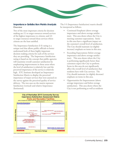#### **Importance-Satisfaction Matrix Analysis Overview**

Two of the most important criteria for decision making are (1) to target resources toward services of the highest importance to citizens; and (2) to target resources toward those services where citizens are the least satisfied.

The Importance-Satisfaction (I-S) rating is a unique tool that allows public officials to better understand both of these highly important decision making criteria for each of the services they are providing. The Importance-Satisfaction rating is based on the concept that public agencies will maximize overall customer satisfaction by emphasizing improvements in those areas where the level of satisfaction is relatively low and the perceived importance of the service is relatively high. ETC Institute developed an Importance-Satisfaction Matrix to display the perceived importance of major services that were assessed on the survey against the perceived quality of service delivery. The two axes on the matrix represent Satisfaction (vertical) and relative Importance (horizontal).

The I-S (Importance-Satisfaction) matrix should be interpreted as follows.

- Continued Emphasis (above average importance and above average satisfaction). This area shows where the City is meeting customer expectations. Items in this area have a significant impact on the customer's overall level of satisfaction. The City should maintain (or slightly increase) emphasis on items in this area.
- Exceeding Expectations (below average importance and above average satisfaction). This area shows where the City is performing significantly better than customers expect the City to perform. Items in this area do not significantly affect the overall level of satisfaction that residents have with City services. The City should maintain (or slightly decrease) emphasis on items in this area.
- Opportunities for Improvement (above average importance and below average satisfaction). This area shows where the City is not performing as well as residents



Source: Leisure Vision/ETC Institute (2015)